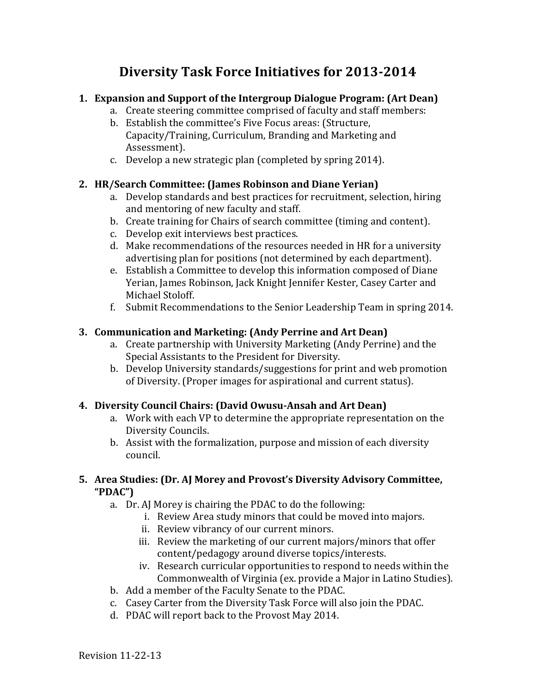# **Diversity Task Force Initiatives for 2013-2014**

## **1. Expansion and Support of the Intergroup Dialogue Program: (Art Dean)**

- a. Create steering committee comprised of faculty and staff members:
- b. Establish the committee's Five Focus areas: (Structure, Capacity/Training, Curriculum, Branding and Marketing and Assessment).
- c. Develop a new strategic plan (completed by spring 2014).

## **2. HR/Search Committee: (James Robinson and Diane Yerian)**

- a. Develop standards and best practices for recruitment, selection, hiring and mentoring of new faculty and staff.
- b. Create training for Chairs of search committee (timing and content).
- c. Develop exit interviews best practices.
- d. Make recommendations of the resources needed in HR for a university advertising plan for positions (not determined by each department).
- e. Establish a Committee to develop this information composed of Diane Yerian, James Robinson, Jack Knight Jennifer Kester, Casey Carter and Michael Stoloff.
- f. Submit Recommendations to the Senior Leadership Team in spring 2014.

## **3. Communication and Marketing: (Andy Perrine and Art Dean)**

- a. Create partnership with University Marketing (Andy Perrine) and the Special Assistants to the President for Diversity.
- b. Develop University standards/suggestions for print and web promotion of Diversity. (Proper images for aspirational and current status).

## **4. Diversity Council Chairs: (David Owusu-Ansah and Art Dean)**

- a. Work with each VP to determine the appropriate representation on the Diversity Councils.
- b. Assist with the formalization, purpose and mission of each diversity council.

## **5.** Area Studies: (Dr. AJ Morey and Provost's Diversity Advisory Committee, **"PDAC")**

- a. Dr. AJ Morey is chairing the PDAC to do the following:
	- i. Review Area study minors that could be moved into majors.
		- ii. Review vibrancy of our current minors.
	- iii. Review the marketing of our current majors/minors that offer content/pedagogy around diverse topics/interests.
	- iv. Research curricular opportunities to respond to needs within the Commonwealth of Virginia (ex. provide a Major in Latino Studies).
- b. Add a member of the Faculty Senate to the PDAC.
- c. Casey Carter from the Diversity Task Force will also join the PDAC.
- d. PDAC will report back to the Provost May 2014.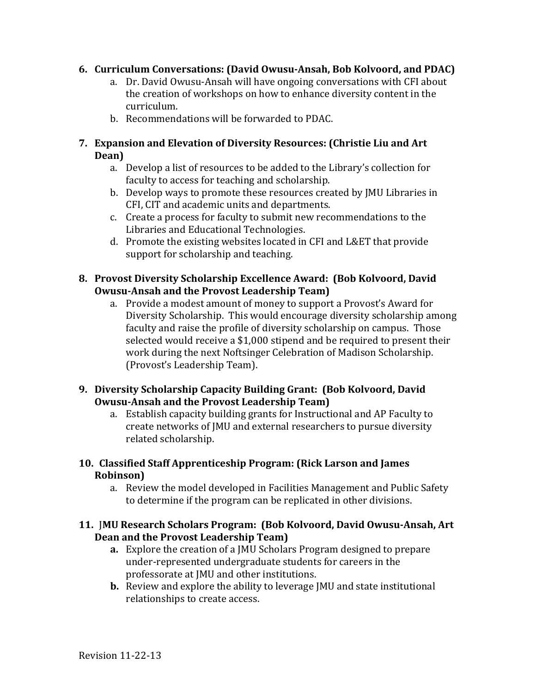#### **6. Curriculum Conversations: (David Owusu-Ansah, Bob Kolvoord, and PDAC)**

- a. Dr. David Owusu-Ansah will have ongoing conversations with CFI about the creation of workshops on how to enhance diversity content in the curriculum.
- b. Recommendations will be forwarded to PDAC.

#### **7. Expansion and Elevation of Diversity Resources: (Christie Liu and Art Dean)**

- a. Develop a list of resources to be added to the Library's collection for faculty to access for teaching and scholarship.
- b. Develop ways to promote these resources created by JMU Libraries in CFI, CIT and academic units and departments.
- c. Create a process for faculty to submit new recommendations to the Libraries and Educational Technologies.
- d. Promote the existing websites located in CFI and L&ET that provide support for scholarship and teaching.

#### **8.** Provost Diversity Scholarship Excellence Award: (Bob Kolvoord, David **Owusu-Ansah and the Provost Leadership Team)**

a. Provide a modest amount of money to support a Provost's Award for Diversity Scholarship. This would encourage diversity scholarship among faculty and raise the profile of diversity scholarship on campus. Those selected would receive a \$1,000 stipend and be required to present their work during the next Noftsinger Celebration of Madison Scholarship. (Provost's Leadership Team).

#### **9. Diversity Scholarship Capacity Building Grant: (Bob Kolvoord, David Owusu-Ansah and the Provost Leadership Team)**

a. Establish capacity building grants for Instructional and AP Faculty to create networks of JMU and external researchers to pursue diversity related scholarship.

#### **10. Classified Staff Apprenticeship Program: (Rick Larson and James Robinson)**

a. Review the model developed in Facilities Management and Public Safety to determine if the program can be replicated in other divisions.

#### **11. [MU Research Scholars Program: (Bob Kolvoord, David Owusu-Ansah, Art Dean and the Provost Leadership Team)**

- **a.** Explore the creation of a JMU Scholars Program designed to prepare under-represented undergraduate students for careers in the professorate at JMU and other institutions.
- **b.** Review and explore the ability to leverage JMU and state institutional relationships to create access.